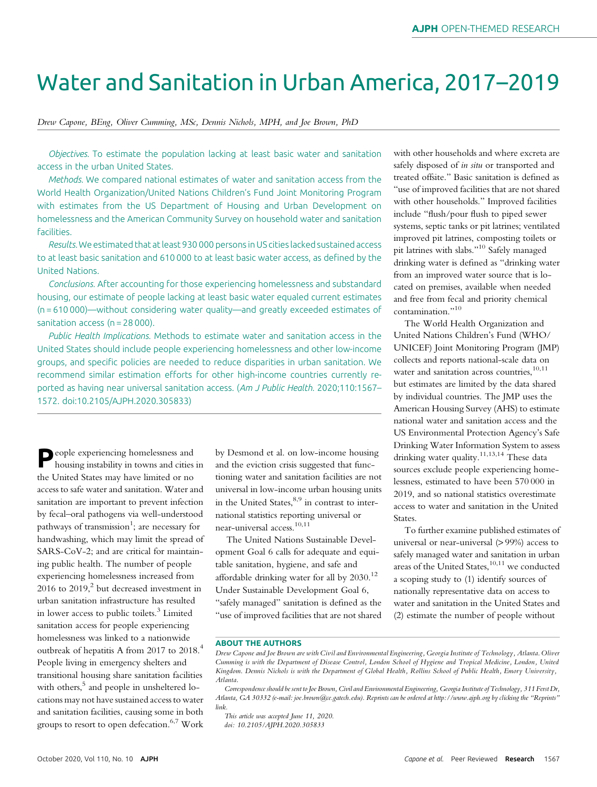# Water and Sanitation in Urban America, 2017–2019

Drew Capone, BEng, Oliver Cumming, MSc, Dennis Nichols, MPH, and Joe Brown, PhD

Objectives. To estimate the population lacking at least basic water and sanitation access in the urban United States.

Methods. We compared national estimates of water and sanitation access from the World Health Organization/United Nations Children's Fund Joint Monitoring Program with estimates from the US Department of Housing and Urban Development on homelessness and the American Community Survey on household water and sanitation facilities.

Results.We estimated that at least 930 000 persons in US cities lacked sustained access to at least basic sanitation and 610 000 to at least basic water access, as defined by the United Nations.

Conclusions. After accounting for those experiencing homelessness and substandard housing, our estimate of people lacking at least basic water equaled current estimates (n = 610 000)—without considering water quality—and greatly exceeded estimates of sanitation access (n = 28 000).

Public Health Implications. Methods to estimate water and sanitation access in the United States should include people experiencing homelessness and other low-income groups, and specific policies are needed to reduce disparities in urban sanitation. We recommend similar estimation efforts for other high-income countries currently reported as having near universal sanitation access. (Am J Public Health. 2020;110:1567– 1572. doi:10.2105/AJPH.2020.305833)

People experiencing homelessness and housing instability in towns and cities in the United States may have limited or no access to safe water and sanitation. Water and sanitation are important to prevent infection by fecal–oral pathogens via well-understood pathways of transmission $^1;$  are necessary for handwashing, which may limit the spread of SARS-CoV-2; and are critical for maintaining public health. The number of people experiencing homelessness increased from 2016 to  $2019<sup>2</sup>$  but decreased investment in urban sanitation infrastructure has resulted in lower access to public toilets.<sup>3</sup> Limited sanitation access for people experiencing homelessness was linked to a nationwide outbreak of hepatitis A from 2017 to 2018.<sup>4</sup> People living in emergency shelters and transitional housing share sanitation facilities with others,<sup>5</sup> and people in unsheltered locations may not have sustained access to water and sanitation facilities, causing some in both groups to resort to open defecation.<sup>6,7</sup> Work

by Desmond et al. on low-income housing and the eviction crisis suggested that functioning water and sanitation facilities are not universal in low-income urban housing units in the United States,  $8.9$  in contrast to international statistics reporting universal or near-universal access.10,11

The United Nations Sustainable Development Goal 6 calls for adequate and equitable sanitation, hygiene, and safe and affordable drinking water for all by 2030.<sup>12</sup> Under Sustainable Development Goal 6, "safely managed" sanitation is defined as the "use of improved facilities that are not shared with other households and where excreta are safely disposed of in situ or transported and treated offsite." Basic sanitation is defined as "use of improved facilities that are not shared with other households." Improved facilities include "flush/pour flush to piped sewer systems, septic tanks or pit latrines; ventilated improved pit latrines, composting toilets or pit latrines with slabs."<sup>10</sup> Safely managed drinking water is defined as "drinking water from an improved water source that is located on premises, available when needed and free from fecal and priority chemical contamination."<sup>10</sup>

The World Health Organization and United Nations Children's Fund (WHO/ UNICEF) Joint Monitoring Program (JMP) collects and reports national-scale data on water and sanitation across countries,  $^{10,11}$ but estimates are limited by the data shared by individual countries. The JMP uses the American Housing Survey (AHS) to estimate national water and sanitation access and the US Environmental Protection Agency's Safe Drinking Water Information System to assess drinking water quality.<sup>11,13,14</sup> These data sources exclude people experiencing homelessness, estimated to have been 570 000 in 2019, and so national statistics overestimate access to water and sanitation in the United States.

To further examine published estimates of universal or near-universal  $(> 99\%)$  access to safely managed water and sanitation in urban areas of the United States, $10,11$  we conducted a scoping study to (1) identify sources of nationally representative data on access to water and sanitation in the United States and (2) estimate the number of people without

#### ABOUT THE AUTHORS

Drew Capone and Joe Brown are with Civil and Environmental Engineering, Georgia Institute of Technology, Atlanta. Oliver Cumming is with the Department of Disease Control, London School of Hygiene and Tropical Medicine, London, United Kingdom. Dennis Nichols is with the Department of Global Health, Rollins School of Public Health, Emory University, Atlanta.

Correspondence should be sent to Joe Brown, Civil and Environmental Engineering, Georgia Institute of Technology, 311 Ferst Dr, Atlanta, GA 30332 (e-mail: [joe.brown@ce.gatech.edu\)](mailto:joe.brown@ce.gatech.edu). Reprints can be ordered at<http://www.ajph.org> by clicking the "Reprints" link.

This article was accepted June 11, 2020. doi: 10.2105/AJPH.2020.305833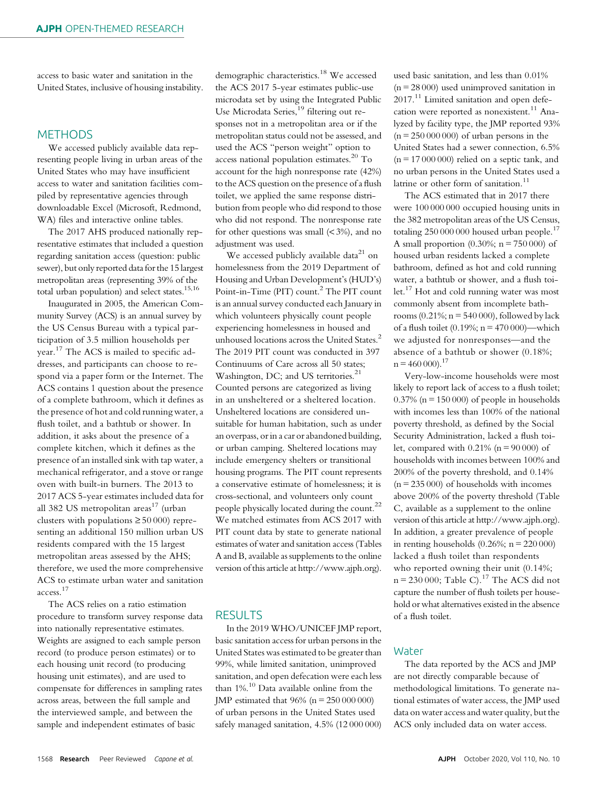access to basic water and sanitation in the United States, inclusive of housing instability.

## **METHODS**

We accessed publicly available data representing people living in urban areas of the United States who may have insufficient access to water and sanitation facilities compiled by representative agencies through downloadable Excel (Microsoft, Redmond, WA) files and interactive online tables.

The 2017 AHS produced nationally representative estimates that included a question regarding sanitation access (question: public sewer), but only reported data for the 15 largest metropolitan areas (representing 39% of the total urban population) and select states.<sup>15,16</sup>

Inaugurated in 2005, the American Community Survey (ACS) is an annual survey by the US Census Bureau with a typical participation of 3.5 million households per year.<sup>17</sup> The ACS is mailed to specific addresses, and participants can choose to respond via a paper form or the Internet. The ACS contains 1 question about the presence of a complete bathroom, which it defines as the presence of hot and cold running water, a flush toilet, and a bathtub or shower. In addition, it asks about the presence of a complete kitchen, which it defines as the presence of an installed sink with tap water, a mechanical refrigerator, and a stove or range oven with built-in burners. The 2013 to 2017 ACS 5-year estimates included data for all 382 US metropolitan  $\arcsin^{17}$  (urban clusters with populations  $\geq 50000$ ) representing an additional 150 million urban US residents compared with the 15 largest metropolitan areas assessed by the AHS; therefore, we used the more comprehensive ACS to estimate urban water and sanitation access.<sup>17</sup>

The ACS relies on a ratio estimation procedure to transform survey response data into nationally representative estimates. Weights are assigned to each sample person record (to produce person estimates) or to each housing unit record (to producing housing unit estimates), and are used to compensate for differences in sampling rates across areas, between the full sample and the interviewed sample, and between the sample and independent estimates of basic

demographic characteristics.<sup>18</sup> We accessed the ACS 2017 5-year estimates public-use microdata set by using the Integrated Public Use Microdata Series,<sup>19</sup> filtering out responses not in a metropolitan area or if the metropolitan status could not be assessed, and used the ACS "person weight" option to access national population estimates.<sup>20</sup> To account for the high nonresponse rate (42%) to the ACS question on the presence of a flush toilet, we applied the same response distribution from people who did respond to those who did not respond. The nonresponse rate for other questions was small  $\approx$  3%), and no adjustment was used.

We accessed publicly available data $^{21}$  on homelessness from the 2019 Department of Housing and Urban Development's (HUD's) Point-in-Time (PIT) count.<sup>2</sup> The PIT count is an annual survey conducted each January in which volunteers physically count people experiencing homelessness in housed and unhoused locations across the United States.<sup>2</sup> The 2019 PIT count was conducted in 397 Continuums of Care across all 50 states; Washington, DC; and US territories.<sup>21</sup> Counted persons are categorized as living in an unsheltered or a sheltered location. Unsheltered locations are considered unsuitable for human habitation, such as under an overpass, or in a car or abandoned building, or urban camping. Sheltered locations may include emergency shelters or transitional housing programs. The PIT count represents a conservative estimate of homelessness; it is cross-sectional, and volunteers only count people physically located during the count.<sup>22</sup> We matched estimates from ACS 2017 with PIT count data by state to generate national estimates of water and sanitation access (Tables A and B, available as supplements to the online version of this article at [http://www.ajph.org\)](http://www.ajph.org).

# **RESULTS**

In the 2019 WHO/UNICEF JMP report, basic sanitation access for urban persons in the United States was estimated to be greater than 99%, while limited sanitation, unimproved sanitation, and open defecation were each less than 1%.10 Data available online from the JMP estimated that 96% (n = 250 000 000) of urban persons in the United States used safely managed sanitation, 4.5% (12 000 000)

used basic sanitation, and less than 0.01%  $(n = 28000)$  used unimproved sanitation in 2017.<sup>11</sup> Limited sanitation and open defecation were reported as nonexistent.<sup>11</sup> Analyzed by facility type, the JMP reported 93%  $(n = 250 000 000)$  of urban persons in the United States had a sewer connection, 6.5%  $(n = 17000000)$  relied on a septic tank, and no urban persons in the United States used a latrine or other form of sanitation.<sup>11</sup>

The ACS estimated that in 2017 there were 100 000 000 occupied housing units in the 382 metropolitan areas of the US Census, totaling  $250000000$  housed urban people.<sup>17</sup> A small proportion  $(0.30\%; n = 750000)$  of housed urban residents lacked a complete bathroom, defined as hot and cold running water, a bathtub or shower, and a flush toilet.<sup>17</sup> Hot and cold running water was most commonly absent from incomplete bathrooms (0.21%;  $n = 540000$ ), followed by lack of a flush toilet  $(0.19\%; n = 470000)$ —which we adjusted for nonresponses—and the absence of a bathtub or shower (0.18%;  $n = 460000$ .<sup>17</sup>

Very-low-income households were most likely to report lack of access to a flush toilet;  $0.37\%$  (n = 150 000) of people in households with incomes less than 100% of the national poverty threshold, as defined by the Social Security Administration, lacked a flush toilet, compared with  $0.21\%$  (n = 90 000) of households with incomes between 100% and 200% of the poverty threshold, and 0.14%  $(n = 235 000)$  of households with incomes above 200% of the poverty threshold (Table C, available as a supplement to the online version of this article at<http://www.ajph.org>). In addition, a greater prevalence of people in renting households  $(0.26\%; n = 220000)$ lacked a flush toilet than respondents who reported owning their unit (0.14%;  $n = 230000$ ; Table C).<sup>17</sup> The ACS did not capture the number of flush toilets per household or what alternatives existed in the absence of a flush toilet.

## **Water**

The data reported by the ACS and JMP are not directly comparable because of methodological limitations. To generate national estimates of water access, the JMP used data on water access and water quality, but the ACS only included data on water access.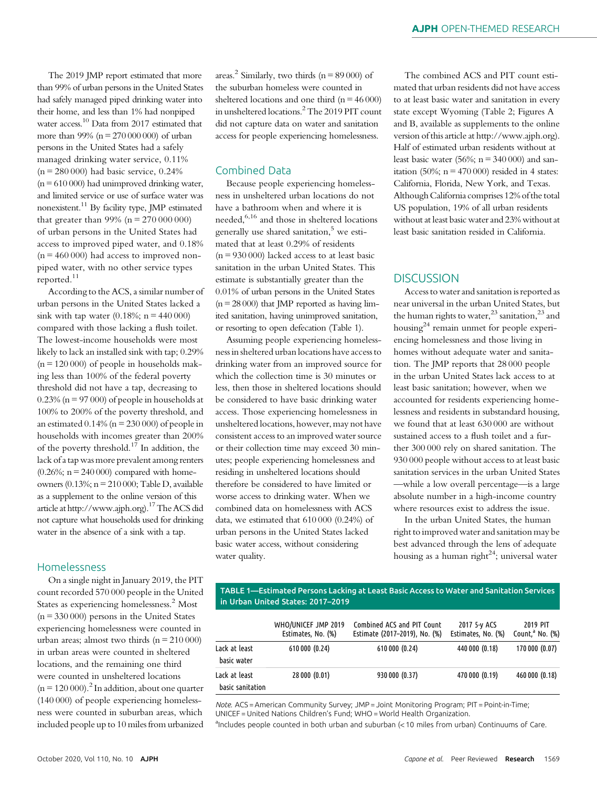The 2019 JMP report estimated that more than 99% of urban persons in the United States had safely managed piped drinking water into their home, and less than 1% had nonpiped water access.<sup>10</sup> Data from 2017 estimated that more than 99% (n = 270 000 000) of urban persons in the United States had a safely managed drinking water service, 0.11%  $(n = 280 000)$  had basic service, 0.24%  $(n = 610000)$  had unimproved drinking water, and limited service or use of surface water was nonexistent.11 By facility type, JMP estimated that greater than 99% ( $n = 270,000,000$ ) of urban persons in the United States had access to improved piped water, and 0.18%  $(n = 460 000)$  had access to improved nonpiped water, with no other service types reported.<sup>11</sup>

According to the ACS, a similar number of urban persons in the United States lacked a sink with tap water  $(0.18\%; n = 440000)$ compared with those lacking a flush toilet. The lowest-income households were most likely to lack an installed sink with tap; 0.29%  $(n = 120000)$  of people in households making less than 100% of the federal poverty threshold did not have a tap, decreasing to  $0.23\%$  (n = 97 000) of people in households at 100% to 200% of the poverty threshold, and an estimated  $0.14\%$  (n = 230 000) of people in households with incomes greater than 200% of the poverty threshold.<sup>17</sup> In addition, the lack of a tap was more prevalent among renters  $(0.26\%; n = 240000)$  compared with homeowners (0.13%; n = 210 000; Table D, available as a supplement to the online version of this article at<http://www.ajph.org>).<sup>17</sup>The ACS did not capture what households used for drinking water in the absence of a sink with a tap.

## Homelessness

On a single night in January 2019, the PIT count recorded 570 000 people in the United States as experiencing homelessness.<sup>2</sup> Most  $(n = 330000)$  persons in the United States experiencing homelessness were counted in urban areas; almost two thirds  $(n = 210000)$ in urban areas were counted in sheltered locations, and the remaining one third were counted in unsheltered locations  $(n = 120000)$ <sup>2</sup> In addition, about one quarter (140 000) of people experiencing homelessness were counted in suburban areas, which included people up to 10 miles from urbanized

areas.<sup>2</sup> Similarly, two thirds ( $n = 89000$ ) of the suburban homeless were counted in sheltered locations and one third  $(n = 46000)$ in unsheltered locations.2 The 2019 PIT count did not capture data on water and sanitation access for people experiencing homelessness.

# Combined Data

Because people experiencing homelessness in unsheltered urban locations do not have a bathroom when and where it is needed,<sup>6,16</sup> and those in sheltered locations generally use shared sanitation, $5$  we estimated that at least 0.29% of residents  $(n = 930000)$  lacked access to at least basic sanitation in the urban United States. This estimate is substantially greater than the 0.01% of urban persons in the United States  $(n = 28000)$  that JMP reported as having limited sanitation, having unimproved sanitation, or resorting to open defecation (Table 1).

Assuming people experiencing homelessness in sheltered urban locations have access to drinking water from an improved source for which the collection time is 30 minutes or less, then those in sheltered locations should be considered to have basic drinking water access. Those experiencing homelessness in unsheltered locations, however, may not have consistent access to an improved water source or their collection time may exceed 30 minutes; people experiencing homelessness and residing in unsheltered locations should therefore be considered to have limited or worse access to drinking water. When we combined data on homelessness with ACS data, we estimated that 610 000 (0.24%) of urban persons in the United States lacked basic water access, without considering water quality.

The combined ACS and PIT count estimated that urban residents did not have access to at least basic water and sanitation in every state except Wyoming (Table 2; Figures A and B, available as supplements to the online version of this article at<http://www.ajph.org>). Half of estimated urban residents without at least basic water (56%;  $n = 340000$ ) and sanitation (50%;  $n = 470000$ ) resided in 4 states: California, Florida, New York, and Texas. Although California comprises 12% ofthe total US population, 19% of all urban residents without at least basic water and 23% without at least basic sanitation resided in California.

# **DISCUSSION**

Access to water and sanitation is reported as near universal in the urban United States, but the human rights to water,  $23$  sanitation,  $23$  and housing<sup>24</sup> remain unmet for people experiencing homelessness and those living in homes without adequate water and sanitation. The JMP reports that 28 000 people in the urban United States lack access to at least basic sanitation; however, when we accounted for residents experiencing homelessness and residents in substandard housing, we found that at least 630 000 are without sustained access to a flush toilet and a further 300 000 rely on shared sanitation. The 930 000 people without access to at least basic sanitation services in the urban United States —while a low overall percentage—is a large absolute number in a high-income country where resources exist to address the issue.

In the urban United States, the human right to improved water and sanitation may be best advanced through the lens of adequate housing as a human right<sup>24</sup>; universal water

## TABLE 1—Estimated Persons Lacking at Least Basic Access to Water and Sanitation Services in Urban United States: 2017–2019

|                                   | WHO/UNICEF JMP 2019<br>Estimates, No. (%) | Combined ACS and PIT Count<br>Estimate (2017-2019), No. (%) | 2017 5-y ACS<br>Estimates, No. (%) | 2019 PIT<br>Count, $^a$ No. (%) |
|-----------------------------------|-------------------------------------------|-------------------------------------------------------------|------------------------------------|---------------------------------|
| Lack at least<br>basic water      | 610 000 (0.24)                            | 610 000 (0.24)                                              | 440 000 (0.18)                     | 170 000 (0.07)                  |
| Lack at least<br>basic sanitation | 28 000 (0.01)                             | 930 000 (0.37)                                              | 470 000 (0.19)                     | 460 000 (0.18)                  |

Note. ACS = American Community Survey; JMP = Joint Monitoring Program; PIT = Point-in-Time; UNICEF = United Nations Children's Fund; WHO = World Health Organization.

ancludes people counted in both urban and suburban (< 10 miles from urban) Continuums of Care.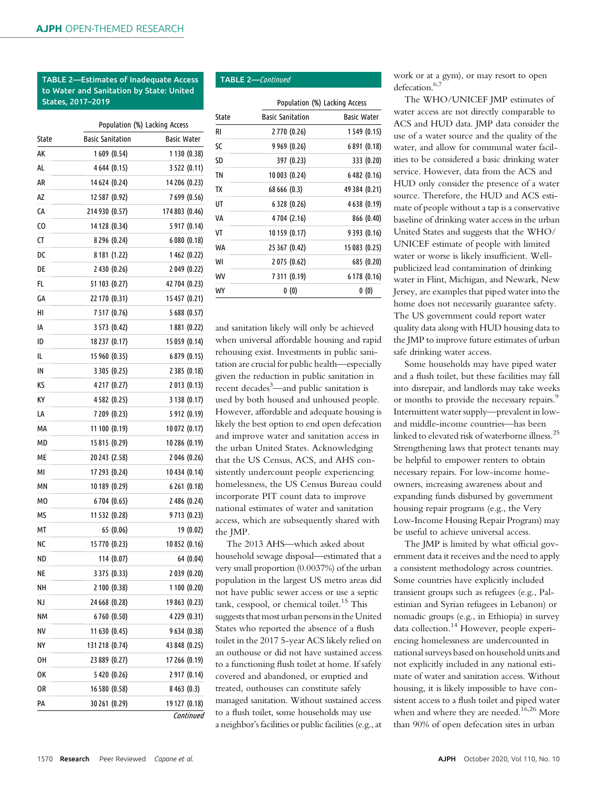#### TABLE 2—Estimates of Inadequate Access to Water and Sanitation by State: United States, 2017–2019

|           |                         | Population (%) Lacking Access |
|-----------|-------------------------|-------------------------------|
| State     | <b>Basic Sanitation</b> | Basic Water                   |
| АΚ        | 1609 (0.54)             | 1 130 (0.38)                  |
| AL        | 4644 (0.15)             | 3 522 (0.11)                  |
| AR        | 14 624 (0.24)           | 14 206 (0.23)                 |
| AZ        | 12 587 (0.92)           | 7 699 (0.56)                  |
| СA        | 214 930 (0.57)          | 174 803 (0.46)                |
| CO        | 14 128 (0.34)           | 5 917 (0.14)                  |
| CT        | 8 296 (0.24)            | 6 080 (0.18)                  |
| DC        | 8 181 (1.22)            | 1462 (0.22)                   |
| DE        | 2 430 (0.26)            | 2 049 (0.22)                  |
| FL        | 51 103 (0.27)           | 42 704 (0.23)                 |
| GА        | 22 170 (0.31)           | 15 457 (0.21)                 |
| HI        | 7 517 (0.76)            | 5 688 (0.57)                  |
| ΙA        | 3 573 (0.42)            | 1881 (0.22)                   |
| ID        | 18 237 (0.17)           | 15 059 (0.14)                 |
| IL        | 15 960 (0.35)           | 6 879 (0.15)                  |
| IN        | 3 3 0 5 (0.25)          | 2 3 8 5 (0.18)                |
| ΚS        | 4217 (0.27)             | 2 013 (0.13)                  |
| ΚY        | 4582 (0.25)             | 3 138 (0.17)                  |
| LA        | 7 209 (0.23)            | 5 912 (0.19)                  |
| ΜA        | 11 100 (0.19)           | 10 072 (0.17)                 |
| МD        | 15 815 (0.29)           | 10 286 (0.19)                 |
| МE        | 20 243 (2.58)           | 2 046 (0.26)                  |
| ΜI        | 17 293 (0.24)           | 10 434 (0.14)                 |
| ΜN        | 10 189 (0.29)           | 6 261 (0.18)                  |
| МO        | 6704 (0.65)             | 2 486 (0.24)                  |
| ΜS        | 11 532 (0.28)           | 9713 (0.23)                   |
| МT        | 65 (0.06)               | 19 (0.02)                     |
| NC        | 15770 (0.23)            | 10 852 (0.16)                 |
| ND        | 114 (0.07)              | 64 (0.04)                     |
| ΝE        | 3 375 (0.33)            | 2 039 (0.20)                  |
| NΗ        | 2 100 (0.38)            | 1 100 (0.20)                  |
| NJ        | 24 668 (0.28)           | 19 863 (0.23)                 |
| <b>NM</b> | 6760 (0.50)             | 4 229 (0.31)                  |
| NV        | 11 630 (0.45)           | 9 634 (0.38)                  |
| NΥ        | 131 218 (0.74)          | 43 848 (0.25)                 |
| он        | 23 889 (0.27)           | 17 266 (0.19)                 |
| ОK        | 5 420 (0.26)            | 2 917 (0.14)                  |
| OR        | 16 580 (0.58)           | 8463(0.3)                     |
| PA        | 30 261 (0.29)           | 19 127 (0.18)                 |
|           |                         | Continued                     |

### TABLE 2-Continued

|       | Population (%) Lacking Access |                    |  |  |
|-------|-------------------------------|--------------------|--|--|
| State | <b>Basic Sanitation</b>       | <b>Basic Water</b> |  |  |
| RI    | 2770 (0.26)                   | 1549 (0.15)        |  |  |
| SC    | 9969(0.26)                    | 6 891 (0.18)       |  |  |
| SD    | 397 (0.23)                    | 333 (0.20)         |  |  |
| ΤN    | 10 003 (0.24)                 | 6 482 (0.16)       |  |  |
| TX    | 68 666 (0.3)                  | 49 384 (0.21)      |  |  |
| UT    | 6328 (0.26)                   | 4638 (0.19)        |  |  |
| VA    | 4704 (2.16)                   | 866 (0.40)         |  |  |
| VT    | 10 159 (0.17)                 | 9 393 (0.16)       |  |  |
| WA    | 25 367 (0.42)                 | 15 083 (0.25)      |  |  |
| wı    | 2 075 (0.62)                  | 685 (0.20)         |  |  |
| WV    | 7311 (0.19)                   | 6 178 (0.16)       |  |  |
| WY    | 0(0)                          | 0(0)               |  |  |

and sanitation likely will only be achieved when universal affordable housing and rapid rehousing exist. Investments in public sanitation are crucial for public health—especially given the reduction in public sanitation in recent decades<sup>3</sup>—and public sanitation is used by both housed and unhoused people. However, affordable and adequate housing is likely the best option to end open defecation and improve water and sanitation access in the urban United States. Acknowledging that the US Census, ACS, and AHS consistently undercount people experiencing homelessness, the US Census Bureau could incorporate PIT count data to improve national estimates of water and sanitation access, which are subsequently shared with the JMP.

The 2013 AHS—which asked about household sewage disposal—estimated that a very small proportion (0.0037%) of the urban population in the largest US metro areas did not have public sewer access or use a septic tank, cesspool, or chemical toilet.<sup>15</sup> This suggests that most urban persons in the United States who reported the absence of a flush toilet in the 2017 5-year ACS likely relied on an outhouse or did not have sustained access to a functioning flush toilet at home. If safely covered and abandoned, or emptied and treated, outhouses can constitute safely managed sanitation. Without sustained access to a flush toilet, some households may use a neighbor's facilities or public facilities (e.g., at

work or at a gym), or may resort to open defecation.<sup>6,7</sup>

The WHO/UNICEF JMP estimates of water access are not directly comparable to ACS and HUD data. JMP data consider the use of a water source and the quality of the water, and allow for communal water facilities to be considered a basic drinking water service. However, data from the ACS and HUD only consider the presence of a water source. Therefore, the HUD and ACS estimate of people without a tap is a conservative baseline of drinking water access in the urban United States and suggests that the WHO/ UNICEF estimate of people with limited water or worse is likely insufficient. Wellpublicized lead contamination of drinking water in Flint, Michigan, and Newark, New Jersey, are examples that piped water into the home does not necessarily guarantee safety. The US government could report water quality data along with HUD housing data to the JMP to improve future estimates of urban safe drinking water access.

Some households may have piped water and a flush toilet, but these facilities may fall into disrepair, and landlords may take weeks or months to provide the necessary repairs.<sup>9</sup> Intermittent water supply—prevalent in lowand middle-income countries—has been linked to elevated risk of waterborne illness.<sup>25</sup> Strengthening laws that protect tenants may be helpful to empower renters to obtain necessary repairs. For low-income homeowners, increasing awareness about and expanding funds disbursed by government housing repair programs (e.g., the Very Low-Income Housing Repair Program) may be useful to achieve universal access.

The JMP is limited by what official government data it receives and the need to apply a consistent methodology across countries. Some countries have explicitly included transient groups such as refugees (e.g., Palestinian and Syrian refugees in Lebanon) or nomadic groups (e.g., in Ethiopia) in survey data collection.<sup>14</sup> However, people experiencing homelessness are undercounted in national surveys based on household units and not explicitly included in any national estimate of water and sanitation access. Without housing, it is likely impossible to have consistent access to a flush toilet and piped water when and where they are needed.<sup>16,26</sup> More than 90% of open defecation sites in urban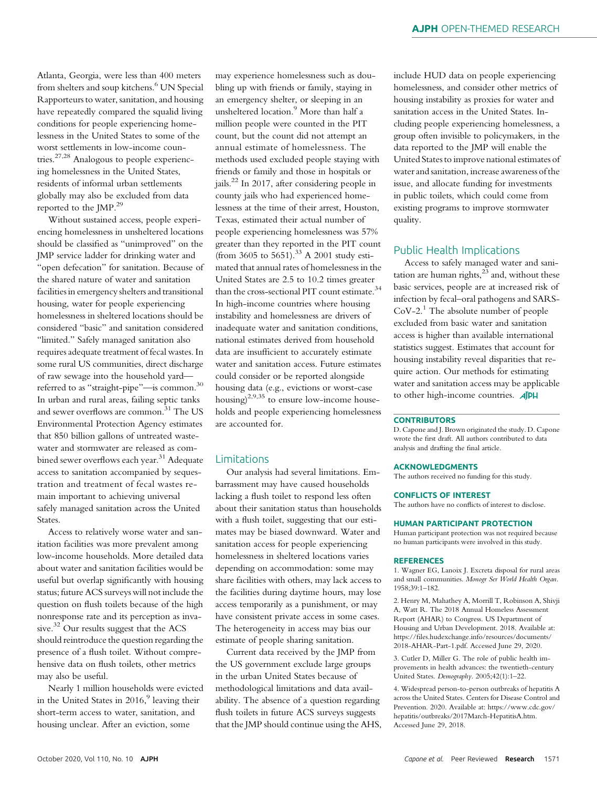Atlanta, Georgia, were less than 400 meters from shelters and soup kitchens.<sup>6</sup> UN Special Rapporteurs to water, sanitation, and housing have repeatedly compared the squalid living conditions for people experiencing homelessness in the United States to some of the worst settlements in low-income countries.27,28 Analogous to people experiencing homelessness in the United States, residents of informal urban settlements globally may also be excluded from data reported to the JMP.29

Without sustained access, people experiencing homelessness in unsheltered locations should be classified as "unimproved" on the JMP service ladder for drinking water and "open defecation" for sanitation. Because of the shared nature of water and sanitation facilities in emergency shelters and transitional housing, water for people experiencing homelessness in sheltered locations should be considered "basic" and sanitation considered "limited." Safely managed sanitation also requires adequate treatment of fecal wastes. In some rural US communities, direct discharge of raw sewage into the household yard referred to as "straight-pipe"—is common.<sup>30</sup> In urban and rural areas, failing septic tanks and sewer overflows are common.<sup>31</sup> The US Environmental Protection Agency estimates that 850 billion gallons of untreated wastewater and stormwater are released as combined sewer overflows each year.<sup>31</sup> Adequate access to sanitation accompanied by sequestration and treatment of fecal wastes remain important to achieving universal safely managed sanitation across the United **States**.

Access to relatively worse water and sanitation facilities was more prevalent among low-income households. More detailed data about water and sanitation facilities would be useful but overlap significantly with housing status; future ACS surveys will not include the question on flush toilets because of the high nonresponse rate and its perception as invasive.<sup>32</sup> Our results suggest that the ACS should reintroduce the question regarding the presence of a flush toilet. Without comprehensive data on flush toilets, other metrics may also be useful.

Nearly 1 million households were evicted in the United States in  $2016<sup>9</sup>$  leaving their short-term access to water, sanitation, and housing unclear. After an eviction, some

may experience homelessness such as doubling up with friends or family, staying in an emergency shelter, or sleeping in an unsheltered location.<sup>9</sup> More than half a million people were counted in the PIT count, but the count did not attempt an annual estimate of homelessness. The methods used excluded people staying with friends or family and those in hospitals or jails.<sup>22</sup> In 2017, after considering people in county jails who had experienced homelessness at the time of their arrest, Houston, Texas, estimated their actual number of people experiencing homelessness was 57% greater than they reported in the PIT count (from 3605 to 5651).<sup>33</sup> A 2001 study estimated that annual rates of homelessness in the United States are 2.5 to 10.2 times greater than the cross-sectional PIT count estimate.<sup>34</sup> In high-income countries where housing instability and homelessness are drivers of inadequate water and sanitation conditions, national estimates derived from household data are insufficient to accurately estimate water and sanitation access. Future estimates could consider or be reported alongside housing data (e.g., evictions or worst-case housing)<sup>2,9,35</sup> to ensure low-income households and people experiencing homelessness are accounted for.

#### Limitations

Our analysis had several limitations. Embarrassment may have caused households lacking a flush toilet to respond less often about their sanitation status than households with a flush toilet, suggesting that our estimates may be biased downward. Water and sanitation access for people experiencing homelessness in sheltered locations varies depending on accommodation: some may share facilities with others, may lack access to the facilities during daytime hours, may lose access temporarily as a punishment, or may have consistent private access in some cases. The heterogeneity in access may bias our estimate of people sharing sanitation.

Current data received by the JMP from the US government exclude large groups in the urban United States because of methodological limitations and data availability. The absence of a question regarding flush toilets in future ACS surveys suggests that the JMP should continue using the AHS,

include HUD data on people experiencing homelessness, and consider other metrics of housing instability as proxies for water and sanitation access in the United States. Including people experiencing homelessness, a group often invisible to policymakers, in the data reported to the JMP will enable the United States to improve national estimates of water and sanitation, increase awareness of the issue, and allocate funding for investments in public toilets, which could come from existing programs to improve stormwater quality.

## Public Health Implications

Access to safely managed water and sanitation are human rights, $2^{\frac{3}{3}}$  and, without these basic services, people are at increased risk of infection by fecal–oral pathogens and SARS- $CoV-2<sup>1</sup>$ . The absolute number of people excluded from basic water and sanitation access is higher than available international statistics suggest. Estimates that account for housing instability reveal disparities that require action. Our methods for estimating water and sanitation access may be applicable to other high-income countries. **AJPH** 

#### **CONTRIBUTORS**

D. Capone and J. Brown originated the study. D. Capone wrote the first draft. All authors contributed to data analysis and drafting the final article.

#### ACKNOWLEDGMENTS

The authors received no funding for this study.

#### CONFLICTS OF INTEREST

The authors have no conflicts of interest to disclose.

#### HUMAN PARTICIPANT PROTECTION

Human participant protection was not required because no human participants were involved in this study.

#### **REFERENCES**

1. Wagner EG, Lanoix J. Excreta disposal for rural areas and small communities. Monogr Ser World Health Organ. 1958;39:1–182.

2. Henry M, Mahathey A, Morrill T, Robinson A, Shivji A, Watt R. The 2018 Annual Homeless Assessment Report (AHAR) to Congress. US Department of Housing and Urban Development. 2018. Available at: https://fi[les.hudexchange.info/resources/documents/](https://files.hudexchange.info/resources/documents/2018-AHAR-Part-1.pdf) [2018-AHAR-Part-1.pdf.](https://files.hudexchange.info/resources/documents/2018-AHAR-Part-1.pdf) Accessed June 29, 2020.

3. Cutler D, Miller G. The role of public health improvements in health advances: the twentieth-century United States. Demography. 2005;42(1):1–22.

4. Widespread person-to-person outbreaks of hepatitis A across the United States. Centers for Disease Control and Prevention. 2020. Available at: [https://www.cdc.gov/](https://www.cdc.gov/hepatitis/outbreaks/2017March-HepatitisA.htm) [hepatitis/outbreaks/2017March-HepatitisA.htm.](https://www.cdc.gov/hepatitis/outbreaks/2017March-HepatitisA.htm) Accessed June 29, 2018.